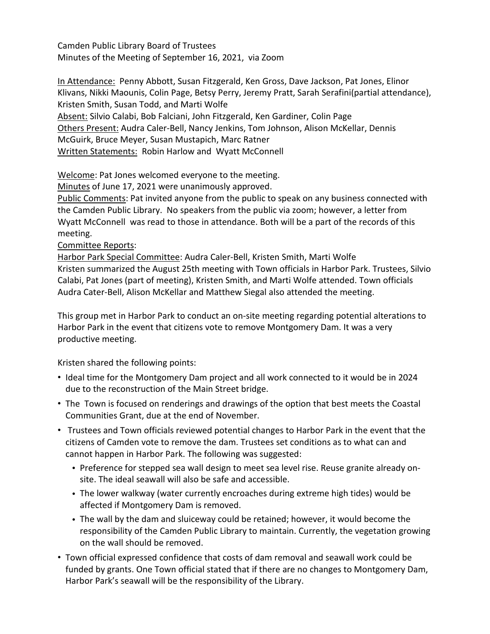Camden Public Library Board of Trustees Minutes of the Meeting of September 16, 2021, via Zoom

In Attendance: Penny Abbott, Susan Fitzgerald, Ken Gross, Dave Jackson, Pat Jones, Elinor Klivans, Nikki Maounis, Colin Page, Betsy Perry, Jeremy Pratt, Sarah Serafini(partial attendance), Kristen Smith, Susan Todd, and Marti Wolfe Absent: Silvio Calabi, Bob Falciani, John Fitzgerald, Ken Gardiner, Colin Page Others Present: Audra Caler-Bell, Nancy Jenkins, Tom Johnson, Alison McKellar, Dennis McGuirk, Bruce Meyer, Susan Mustapich, Marc Ratner Written Statements: Robin Harlow and Wyatt McConnell

Welcome: Pat Jones welcomed everyone to the meeting.

Minutes of June 17, 2021 were unanimously approved.

Public Comments: Pat invited anyone from the public to speak on any business connected with the Camden Public Library. No speakers from the public via zoom; however, a letter from Wyatt McConnell was read to those in attendance. Both will be a part of the records of this meeting.

Committee Reports:

Harbor Park Special Committee: Audra Caler-Bell, Kristen Smith, Marti Wolfe Kristen summarized the August 25th meeting with Town officials in Harbor Park. Trustees, Silvio Calabi, Pat Jones (part of meeting), Kristen Smith, and Marti Wolfe attended. Town officials Audra Cater-Bell, Alison McKellar and Matthew Siegal also attended the meeting.

This group met in Harbor Park to conduct an on-site meeting regarding potential alterations to Harbor Park in the event that citizens vote to remove Montgomery Dam. It was a very productive meeting.

Kristen shared the following points:

- Ideal time for the Montgomery Dam project and all work connected to it would be in 2024 due to the reconstruction of the Main Street bridge.
- The Town is focused on renderings and drawings of the option that best meets the Coastal Communities Grant, due at the end of November.
- Trustees and Town officials reviewed potential changes to Harbor Park in the event that the citizens of Camden vote to remove the dam. Trustees set conditions as to what can and cannot happen in Harbor Park. The following was suggested:
	- Preference for stepped sea wall design to meet sea level rise. Reuse granite already onsite. The ideal seawall will also be safe and accessible.
	- The lower walkway (water currently encroaches during extreme high tides) would be affected if Montgomery Dam is removed.
	- The wall by the dam and sluiceway could be retained; however, it would become the responsibility of the Camden Public Library to maintain. Currently, the vegetation growing on the wall should be removed.
- Town official expressed confidence that costs of dam removal and seawall work could be funded by grants. One Town official stated that if there are no changes to Montgomery Dam, Harbor Park's seawall will be the responsibility of the Library.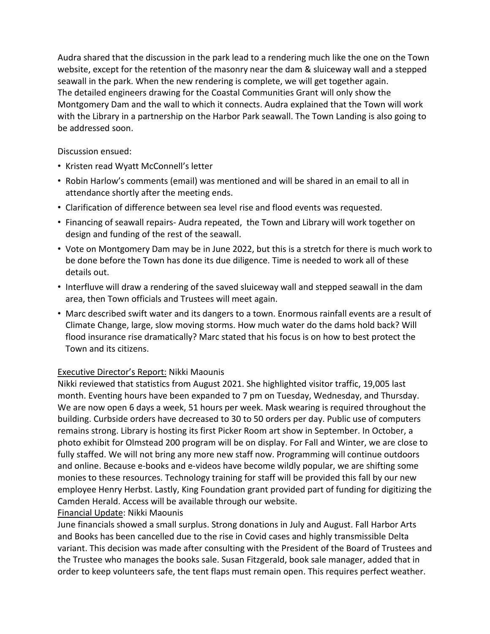Audra shared that the discussion in the park lead to a rendering much like the one on the Town website, except for the retention of the masonry near the dam & sluiceway wall and a stepped seawall in the park. When the new rendering is complete, we will get together again. The detailed engineers drawing for the Coastal Communities Grant will only show the Montgomery Dam and the wall to which it connects. Audra explained that the Town will work with the Library in a partnership on the Harbor Park seawall. The Town Landing is also going to be addressed soon.

Discussion ensued:

- Kristen read Wyatt McConnell's letter
- Robin Harlow's comments (email) was mentioned and will be shared in an email to all in attendance shortly after the meeting ends.
- Clarification of difference between sea level rise and flood events was requested.
- Financing of seawall repairs- Audra repeated, the Town and Library will work together on design and funding of the rest of the seawall.
- Vote on Montgomery Dam may be in June 2022, but this is a stretch for there is much work to be done before the Town has done its due diligence. Time is needed to work all of these details out.
- Interfluve will draw a rendering of the saved sluiceway wall and stepped seawall in the dam area, then Town officials and Trustees will meet again.
- Marc described swift water and its dangers to a town. Enormous rainfall events are a result of Climate Change, large, slow moving storms. How much water do the dams hold back? Will flood insurance rise dramatically? Marc stated that his focus is on how to best protect the Town and its citizens.

## Executive Director's Report: Nikki Maounis

Nikki reviewed that statistics from August 2021. She highlighted visitor traffic, 19,005 last month. Eventing hours have been expanded to 7 pm on Tuesday, Wednesday, and Thursday. We are now open 6 days a week, 51 hours per week. Mask wearing is required throughout the building. Curbside orders have decreased to 30 to 50 orders per day. Public use of computers remains strong. Library is hosting its first Picker Room art show in September. In October, a photo exhibit for Olmstead 200 program will be on display. For Fall and Winter, we are close to fully staffed. We will not bring any more new staff now. Programming will continue outdoors and online. Because e-books and e-videos have become wildly popular, we are shifting some monies to these resources. Technology training for staff will be provided this fall by our new employee Henry Herbst. Lastly, King Foundation grant provided part of funding for digitizing the Camden Herald. Access will be available through our website.

## Financial Update: Nikki Maounis

June financials showed a small surplus. Strong donations in July and August. Fall Harbor Arts and Books has been cancelled due to the rise in Covid cases and highly transmissible Delta variant. This decision was made after consulting with the President of the Board of Trustees and the Trustee who manages the books sale. Susan Fitzgerald, book sale manager, added that in order to keep volunteers safe, the tent flaps must remain open. This requires perfect weather.